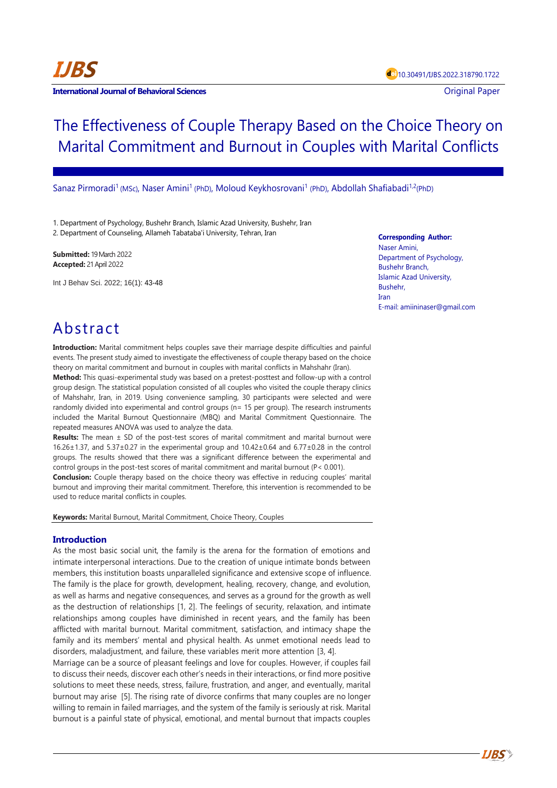**IJBS**

# The Effectiveness of Couple Therapy Based on the Choice Theory on Marital Commitment and Burnout in Couples with Marital Conflicts

Sanaz Pirmoradi<sup>1</sup> (MSc), Naser Amini<sup>1</sup> (PhD), Moloud Keykhosrovani<sup>1</sup> (PhD), Abdollah Shafiabadi<sup>1,2</sup>(PhD)

1. Department of Psychology, Bushehr Branch, Islamic Azad University, Bushehr, Iran 2. Department of Counseling, Allameh Tabataba'i University, Tehran, Iran

**Submitted:** 19 March 2022 **Accepted:** 21 April 2022

Int J Behav Sci. 2022; 16(1): 43-48

**Corresponding Author:** Naser Amini, Department of Psychology, Bushehr Branch, Islamic Azad University, Bushehr, Iran E-mail: amiininaser@gmail.com

# Abstract

**Introduction:** Marital commitment helps couples save their marriage despite difficulties and painful events. The present study aimed to investigate the effectiveness of couple therapy based on the choice theory on marital commitment and burnout in couples with marital conflicts in Mahshahr (Iran).

**Method:** This quasi-experimental study was based on a pretest-posttest and follow-up with a control group design. The statistical population consisted of all couples who visited the couple therapy clinics of Mahshahr, Iran, in 2019. Using convenience sampling, 30 participants were selected and were randomly divided into experimental and control groups (n= 15 per group). The research instruments included the Marital Burnout Questionnaire (MBQ) and Marital Commitment Questionnaire. The repeated measures ANOVA was used to analyze the data.

**Results:** The mean ± SD of the post-test scores of marital commitment and marital burnout were 16.26 $\pm$ 1.37, and 5.37 $\pm$ 0.27 in the experimental group and 10.42 $\pm$ 0.64 and 6.77 $\pm$ 0.28 in the control groups. The results showed that there was a significant difference between the experimental and control groups in the post-test scores of marital commitment and marital burnout (P< 0.001).

**Conclusion:** Couple therapy based on the choice theory was effective in reducing couples' marital burnout and improving their marital commitment. Therefore, this intervention is recommended to be used to reduce marital conflicts in couples.

**Keywords:** Marital Burnout, Marital Commitment, Choice Theory, Couples

# **Introduction**

As the most basic social unit, the family is the arena for the formation of emotions and intimate interpersonal interactions. Due to the creation of unique intimate bonds between members, this institution boasts unparalleled significance and extensive scope of influence. The family is the place for growth, development, healing, recovery, change, and evolution, as well as harms and negative consequences, and serves as a ground for the growth as well as the destruction of relationships [1, 2]. The feelings of security, relaxation, and intimate relationships among couples have diminished in recent years, and the family has been afflicted with marital burnout. Marital commitment, satisfaction, and intimacy shape the family and its members' mental and physical health. As unmet emotional needs lead to disorders, maladjustment, and failure, these variables merit more attention [3, 4].

Marriage can be a source of pleasant feelings and love for couples. However, if couples fail to discuss their needs, discover each other's needs in their interactions, or find more positive solutions to meet these needs, stress, failure, frustration, and anger, and eventually, marital burnout may arise [5]. The rising rate of divorce confirms that many couples are no longer willing to remain in failed marriages, and the system of the family is seriously at risk. Marital burnout is a painful state of physical, emotional, and mental burnout that impacts couples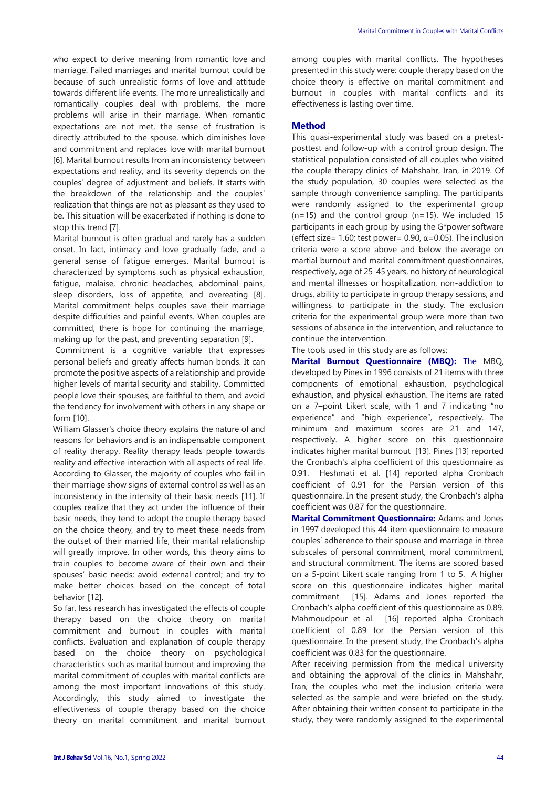who expect to derive meaning from romantic love and marriage. Failed marriages and marital burnout could be because of such unrealistic forms of love and attitude towards different life events. The more unrealistically and romantically couples deal with problems, the more problems will arise in their marriage. When romantic expectations are not met, the sense of frustration is directly attributed to the spouse, which diminishes love and commitment and replaces love with marital burnout [6]. Marital burnout results from an inconsistency between expectations and reality, and its severity depends on the couples' degree of adjustment and beliefs. It starts with the breakdown of the relationship and the couples' realization that things are not as pleasant as they used to be. This situation will be exacerbated if nothing is done to stop this trend [7].

Marital burnout is often gradual and rarely has a sudden onset. In fact, intimacy and love gradually fade, and a general sense of fatigue emerges. Marital burnout is characterized by symptoms such as physical exhaustion, fatigue, malaise, chronic headaches, abdominal pains, sleep disorders, loss of appetite, and overeating [8]. Marital commitment helps couples save their marriage despite difficulties and painful events. When couples are committed, there is hope for continuing the marriage, making up for the past, and preventing separation [9].

Commitment is a cognitive variable that expresses personal beliefs and greatly affects human bonds. It can promote the positive aspects of a relationship and provide higher levels of marital security and stability. Committed people love their spouses, are faithful to them, and avoid the tendency for involvement with others in any shape or form [10].

William Glasser's choice theory explains the nature of and reasons for behaviors and is an indispensable component of reality therapy. Reality therapy leads people towards reality and effective interaction with all aspects of real life. According to Glasser, the majority of couples who fail in their marriage show signs of external control as well as an inconsistency in the intensity of their basic needs [11]. If couples realize that they act under the influence of their basic needs, they tend to adopt the couple therapy based on the choice theory, and try to meet these needs from the outset of their married life, their marital relationship will greatly improve. In other words, this theory aims to train couples to become aware of their own and their spouses' basic needs; avoid external control; and try to make better choices based on the concept of total behavior [12].

So far, less research has investigated the effects of couple therapy based on the choice theory on marital commitment and burnout in couples with marital conflicts. Evaluation and explanation of couple therapy based on the choice theory on psychological characteristics such as marital burnout and improving the marital commitment of couples with marital conflicts are among the most important innovations of this study. Accordingly, this study aimed to investigate the effectiveness of couple therapy based on the choice theory on marital commitment and marital burnout among couples with marital conflicts. The hypotheses presented in this study were: couple therapy based on the choice theory is effective on marital commitment and burnout in couples with marital conflicts and its effectiveness is lasting over time.

#### **Method**

This quasi-experimental study was based on a pretestposttest and follow-up with a control group design. The statistical population consisted of all couples who visited the couple therapy clinics of Mahshahr, Iran, in 2019. Of the study population, 30 couples were selected as the sample through convenience sampling. The participants were randomly assigned to the experimental group  $(n=15)$  and the control group  $(n=15)$ . We included 15 participants in each group by using the G\*power software (effect size= 1.60; test power= 0.90,  $\alpha$ =0.05). The inclusion criteria were a score above and below the average on martial burnout and marital commitment questionnaires, respectively, age of 25-45 years, no history of neurological and mental illnesses or hospitalization, non-addiction to drugs, ability to participate in group therapy sessions, and willingness to participate in the study. The exclusion criteria for the experimental group were more than two sessions of absence in the intervention, and reluctance to continue the intervention.

The tools used in this study are as follows:

**Marital Burnout Questionnaire (MBQ):** The MBQ, developed by Pines in 1996 consists of 21 items with three components of emotional exhaustion, psychological exhaustion, and physical exhaustion. The items are rated on a 7–point Likert scale, with 1 and 7 indicating "no experience" and "high experience", respectively. The minimum and maximum scores are 21 and 147, respectively. A higher score on this questionnaire indicates higher marital burnout [13]. Pines [13] reported the Cronbach's alpha coefficient of this questionnaire as 0.91. Heshmati et al. [14] reported alpha Cronbach coefficient of 0.91 for the Persian version of this questionnaire. In the present study, the Cronbach's alpha coefficient was 0.87 for the questionnaire.

**Marital Commitment Questionnaire:** Adams and Jones in 1997 developed this 44-item questionnaire to measure couples' adherence to their spouse and marriage in three subscales of personal commitment, moral commitment, and structural commitment. The items are scored based on a 5-point Likert scale ranging from 1 to 5. A higher score on this questionnaire indicates higher marital commitment [15]. Adams and Jones reported the Cronbach's alpha coefficient of this questionnaire as 0.89. Mahmoudpour et al. [16] reported alpha Cronbach coefficient of 0.89 for the Persian version of this questionnaire. In the present study, the Cronbach's alpha coefficient was 0.83 for the questionnaire.

After receiving permission from the medical university and obtaining the approval of the clinics in Mahshahr, Iran, the couples who met the inclusion criteria were selected as the sample and were briefed on the study. After obtaining their written consent to participate in the study, they were randomly assigned to the experimental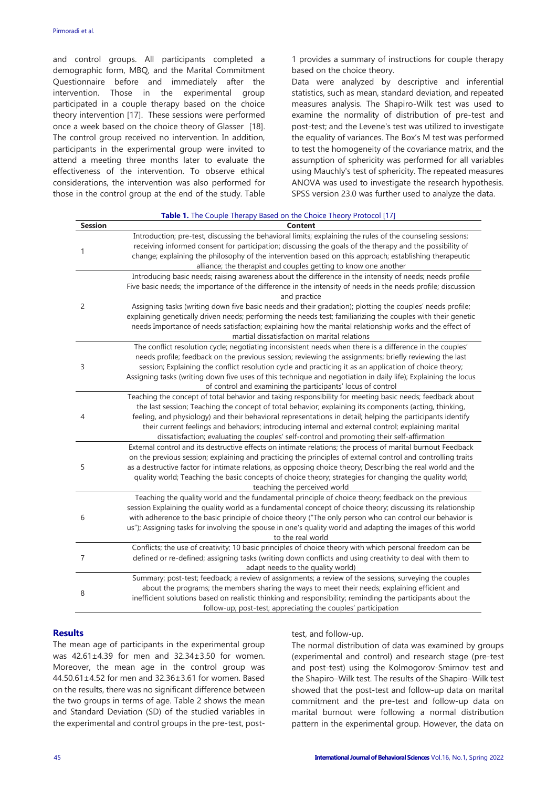and control groups. All participants completed a demographic form, MBQ, and the Marital Commitment Questionnaire before and immediately after the intervention. Those in the experimental group participated in a couple therapy based on the choice theory intervention [17]. These sessions were performed once a week based on the choice theory of Glasser [18]. The control group received no intervention. In addition, participants in the experimental group were invited to attend a meeting three months later to evaluate the effectiveness of the intervention. To observe ethical considerations, the intervention was also performed for those in the control group at the end of the study. Table

1 provides a summary of instructions for couple therapy based on the choice theory.

Data were analyzed by descriptive and inferential statistics, such as mean, standard deviation, and repeated measures analysis. The Shapiro-Wilk test was used to examine the normality of distribution of pre-test and post-test; and the Levene's test was utilized to investigate the equality of variances. The Box's M test was performed to test the homogeneity of the covariance matrix, and the assumption of sphericity was performed for all variables using Mauchly's test of sphericity. The repeated measures ANOVA was used to investigate the research hypothesis. SPSS version 23.0 was further used to analyze the data.

|                | <b>Table 1.</b> The Couple Therapy Based on the Choice Theory Protocol [17]                                                                                                                                                                                                                                                                                                                                                                                                                                                                                                                                                       |
|----------------|-----------------------------------------------------------------------------------------------------------------------------------------------------------------------------------------------------------------------------------------------------------------------------------------------------------------------------------------------------------------------------------------------------------------------------------------------------------------------------------------------------------------------------------------------------------------------------------------------------------------------------------|
| <b>Session</b> | Content                                                                                                                                                                                                                                                                                                                                                                                                                                                                                                                                                                                                                           |
| 1              | Introduction; pre-test, discussing the behavioral limits; explaining the rules of the counseling sessions;<br>receiving informed consent for participation; discussing the goals of the therapy and the possibility of<br>change; explaining the philosophy of the intervention based on this approach; establishing therapeutic<br>alliance; the therapist and couples getting to know one another                                                                                                                                                                                                                               |
| 2              | Introducing basic needs; raising awareness about the difference in the intensity of needs; needs profile<br>Five basic needs; the importance of the difference in the intensity of needs in the needs profile; discussion<br>and practice<br>Assigning tasks (writing down five basic needs and their gradation); plotting the couples' needs profile;<br>explaining genetically driven needs; performing the needs test; familiarizing the couples with their genetic<br>needs Importance of needs satisfaction; explaining how the marital relationship works and the effect of<br>martial dissatisfaction on marital relations |
| 3              | The conflict resolution cycle; negotiating inconsistent needs when there is a difference in the couples'<br>needs profile; feedback on the previous session; reviewing the assignments; briefly reviewing the last<br>session; Explaining the conflict resolution cycle and practicing it as an application of choice theory;<br>Assigning tasks (writing down five uses of this technique and negotiation in daily life); Explaining the locus<br>of control and examining the participants' locus of control                                                                                                                    |
| 4              | Teaching the concept of total behavior and taking responsibility for meeting basic needs; feedback about<br>the last session; Teaching the concept of total behavior; explaining its components (acting, thinking,<br>feeling, and physiology) and their behavioral representations in detail; helping the participants identify<br>their current feelings and behaviors; introducing internal and external control; explaining marital<br>dissatisfaction; evaluating the couples' self-control and promoting their self-affirmation                                                                                             |
| 5              | External control and its destructive effects on intimate relations; the process of marital burnout Feedback<br>on the previous session; explaining and practicing the principles of external control and controlling traits<br>as a destructive factor for intimate relations, as opposing choice theory; Describing the real world and the<br>quality world; Teaching the basic concepts of choice theory; strategies for changing the quality world;<br>teaching the perceived world                                                                                                                                            |
| 6              | Teaching the quality world and the fundamental principle of choice theory; feedback on the previous<br>session Explaining the quality world as a fundamental concept of choice theory; discussing its relationship<br>with adherence to the basic principle of choice theory ("The only person who can control our behavior is<br>us"); Assigning tasks for involving the spouse in one's quality world and adapting the images of this world<br>to the real world                                                                                                                                                                |
| 7              | Conflicts; the use of creativity; 10 basic principles of choice theory with which personal freedom can be<br>defined or re-defined; assigning tasks (writing down conflicts and using creativity to deal with them to<br>adapt needs to the quality world)                                                                                                                                                                                                                                                                                                                                                                        |
| 8              | Summary; post-test; feedback; a review of assignments; a review of the sessions; surveying the couples<br>about the programs; the members sharing the ways to meet their needs; explaining efficient and<br>inefficient solutions based on realistic thinking and responsibility; reminding the participants about the<br>follow-up; post-test; appreciating the couples' participation                                                                                                                                                                                                                                           |

### **Results**

The mean age of participants in the experimental group was 42.61±4.39 for men and 32.34±3.50 for women. Moreover, the mean age in the control group was 44.50.61±4.52 for men and 32.36±3.61 for women. Based on the results, there was no significant difference between the two groups in terms of age. Table 2 shows the mean and Standard Deviation (SD) of the studied variables in the experimental and control groups in the pre-test, posttest, and follow-up.

The normal distribution of data was examined by groups (experimental and control) and research stage (pre-test and post-test) using the Kolmogorov-Smirnov test and the Shapiro–Wilk test. The results of the Shapiro–Wilk test showed that the post-test and follow-up data on marital commitment and the pre-test and follow-up data on marital burnout were following a normal distribution pattern in the experimental group. However, the data on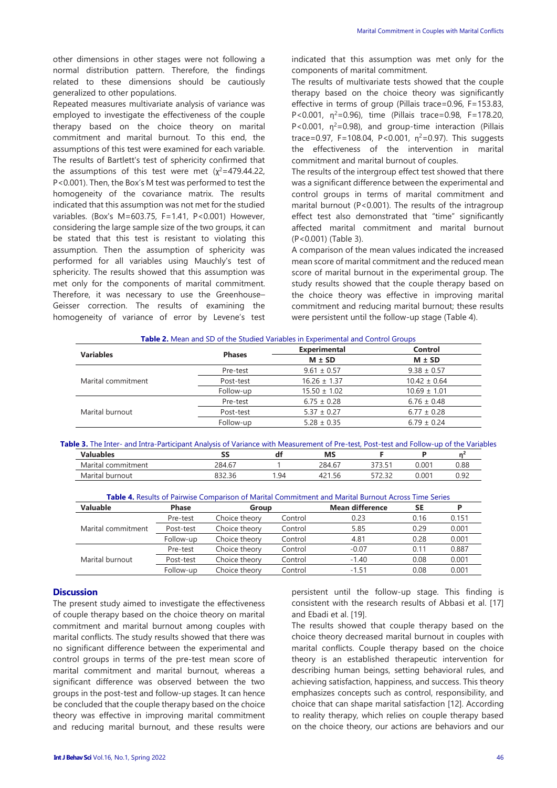other dimensions in other stages were not following a normal distribution pattern. Therefore, the findings related to these dimensions should be cautiously generalized to other populations.

Repeated measures multivariate analysis of variance was employed to investigate the effectiveness of the couple therapy based on the choice theory on marital commitment and marital burnout. To this end, the assumptions of this test were examined for each variable. The results of Bartlett's test of sphericity confirmed that the assumptions of this test were met  $(x^2=479.44.22)$ , P<0.001). Then, the Box's M test was performed to test the homogeneity of the covariance matrix. The results indicated that this assumption was not met for the studied variables. (Box's M=603.75, F=1.41, P<0.001) However, considering the large sample size of the two groups, it can be stated that this test is resistant to violating this assumption. Then the assumption of sphericity was performed for all variables using Mauchly's test of sphericity. The results showed that this assumption was met only for the components of marital commitment. Therefore, it was necessary to use the Greenhouse– Geisser correction. The results of examining the homogeneity of variance of error by Levene's test indicated that this assumption was met only for the components of marital commitment.

The results of multivariate tests showed that the couple therapy based on the choice theory was significantly effective in terms of group (Pillais trace=0.96, F=153.83, P<0.001,  $\eta^2$ =0.96), time (Pillais trace=0.98, F=178.20, P<0.001,  $\eta^2$ =0.98), and group-time interaction (Pillais trace=0.97, F=108.04, P<0.001,  $\eta^2$ =0.97). This suggests the effectiveness of the intervention in marital commitment and marital burnout of couples.

The results of the intergroup effect test showed that there was a significant difference between the experimental and control groups in terms of marital commitment and marital burnout (P<0.001). The results of the intragroup effect test also demonstrated that "time" significantly affected marital commitment and marital burnout (P<0.001) (Table 3).

A comparison of the mean values indicated the increased mean score of marital commitment and the reduced mean score of marital burnout in the experimental group. The study results showed that the couple therapy based on the choice theory was effective in improving marital commitment and reducing marital burnout; these results were persistent until the follow-up stage (Table 4).

|           | <b>Table 2.</b> Micali and 3D of the Studied Vanables In Experimental and Control Groups. |              |               |
|-----------|-------------------------------------------------------------------------------------------|--------------|---------------|
| Variables |                                                                                           | Experimental | Control       |
|           | <b>Phases</b>                                                                             | $M \pm SD$   | $M \pm SD$    |
|           | $Pra-tact$                                                                                | $961 + 057$  | $9.38 + 0.57$ |

**Table 2.** Mean and SD of the Studied Variables in Experimental and Control Groups

|                    |           | 171 – JL         | $\mathbf{v}$ $\mathbf{v}$ $\mathbf{v}$ |
|--------------------|-----------|------------------|----------------------------------------|
|                    | Pre-test  | $9.61 \pm 0.57$  | $9.38 \pm 0.57$                        |
| Marital commitment | Post-test | $16.26 \pm 1.37$ | $10.42 \pm 0.64$                       |
|                    | Follow-up | $15.50 \pm 1.02$ | $10.69 \pm 1.01$                       |
|                    | Pre-test  | $6.75 \pm 0.28$  | $6.76 \pm 0.48$                        |
| Marital burnout    | Post-test | $5.37 \pm 0.27$  | $6.77 \pm 0.28$                        |
|                    | Follow-up | $5.28 \pm 0.35$  | $6.79 \pm 0.24$                        |

**Table 3.** The Inter- and Intra-Participant Analysis of Variance with Measurement of Pre-test, Post-test and Follow-up of the Variables

| <b>Valuables</b>      | --     | uі   | MS           |                           |       | <b>MA</b>    |
|-----------------------|--------|------|--------------|---------------------------|-------|--------------|
| Marital<br>commitment | 284.67 |      | 284.67       | .<br>っっっ<br>.             | 0.001 | 0.88         |
| Marital<br>burnout    | 0.22.2 | . 94 | $  -$<br>.5t | <b>F70</b><br>$\sim$<br>. | 0.001 | റ മാ<br>◡.◡– |

| <b>Table 4.</b> Results of Pairwise Comparison of Marital Commitment and Marital Burnout Across Time Series |              |               |         |                        |      |       |
|-------------------------------------------------------------------------------------------------------------|--------------|---------------|---------|------------------------|------|-------|
| <b>Valuable</b>                                                                                             | <b>Phase</b> | Group         |         | <b>Mean difference</b> | SE   |       |
|                                                                                                             | Pre-test     | Choice theory | Control | 0.23                   | 0.16 | 0.151 |
| Marital commitment                                                                                          | Post-test    | Choice theory | Control | 5.85                   | 0.29 | 0.001 |
|                                                                                                             | Follow-up    | Choice theory | Control | 4.81                   | 0.28 | 0.001 |
|                                                                                                             | Pre-test     | Choice theory | Control | $-0.07$                | 0.11 | 0.887 |
| Marital burnout                                                                                             | Post-test    | Choice theory | Control | $-1.40$                | 0.08 | 0.001 |
|                                                                                                             | Follow-up    | Choice theory | Control | $-1.51$                | 0.08 | 0.001 |

## **Discussion**

The present study aimed to investigate the effectiveness of couple therapy based on the choice theory on marital commitment and marital burnout among couples with marital conflicts. The study results showed that there was no significant difference between the experimental and control groups in terms of the pre-test mean score of marital commitment and marital burnout, whereas a significant difference was observed between the two groups in the post-test and follow-up stages. It can hence be concluded that the couple therapy based on the choice theory was effective in improving marital commitment and reducing marital burnout, and these results were persistent until the follow-up stage. This finding is consistent with the research results of Abbasi et al. [17] and Ebadi et al. [19].

The results showed that couple therapy based on the choice theory decreased marital burnout in couples with marital conflicts. Couple therapy based on the choice theory is an established therapeutic intervention for describing human beings, setting behavioral rules, and achieving satisfaction, happiness, and success. This theory emphasizes concepts such as control, responsibility, and choice that can shape marital satisfaction [12]. According to reality therapy, which relies on couple therapy based on the choice theory, our actions are behaviors and our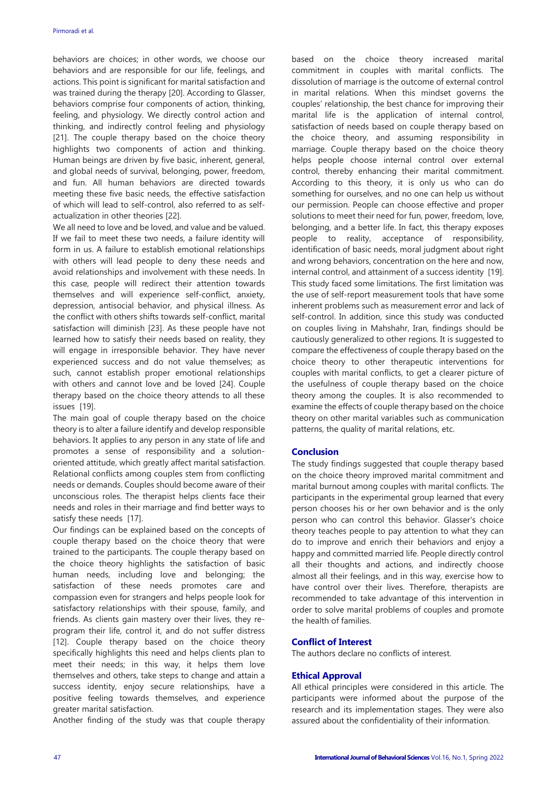behaviors are choices; in other words, we choose our behaviors and are responsible for our life, feelings, and actions. This point is significant for marital satisfaction and was trained during the therapy [20]. According to Glasser, behaviors comprise four components of action, thinking, feeling, and physiology. We directly control action and thinking, and indirectly control feeling and physiology [21]. The couple therapy based on the choice theory highlights two components of action and thinking. Human beings are driven by five basic, inherent, general, and global needs of survival, belonging, power, freedom, and fun. All human behaviors are directed towards meeting these five basic needs, the effective satisfaction of which will lead to self-control, also referred to as selfactualization in other theories [22].

We all need to love and be loved, and value and be valued. If we fail to meet these two needs, a failure identity will form in us. A failure to establish emotional relationships with others will lead people to deny these needs and avoid relationships and involvement with these needs. In this case, people will redirect their attention towards themselves and will experience self-conflict, anxiety, depression, antisocial behavior, and physical illness. As the conflict with others shifts towards self-conflict, marital satisfaction will diminish [23]. As these people have not learned how to satisfy their needs based on reality, they will engage in irresponsible behavior. They have never experienced success and do not value themselves; as such, cannot establish proper emotional relationships with others and cannot love and be loved [24]. Couple therapy based on the choice theory attends to all these issues [19].

The main goal of couple therapy based on the choice theory is to alter a failure identify and develop responsible behaviors. It applies to any person in any state of life and promotes a sense of responsibility and a solutionoriented attitude, which greatly affect marital satisfaction. Relational conflicts among couples stem from conflicting needs or demands. Couples should become aware of their unconscious roles. The therapist helps clients face their needs and roles in their marriage and find better ways to satisfy these needs [17].

Our findings can be explained based on the concepts of couple therapy based on the choice theory that were trained to the participants. The couple therapy based on the choice theory highlights the satisfaction of basic human needs, including love and belonging; the satisfaction of these needs promotes care and compassion even for strangers and helps people look for satisfactory relationships with their spouse, family, and friends. As clients gain mastery over their lives, they reprogram their life, control it, and do not suffer distress [12]. Couple therapy based on the choice theory specifically highlights this need and helps clients plan to meet their needs; in this way, it helps them love themselves and others, take steps to change and attain a success identity, enjoy secure relationships, have a positive feeling towards themselves, and experience greater marital satisfaction.

Another finding of the study was that couple therapy

based on the choice theory increased marital commitment in couples with marital conflicts. The dissolution of marriage is the outcome of external control in marital relations. When this mindset governs the couples' relationship, the best chance for improving their marital life is the application of internal control, satisfaction of needs based on couple therapy based on the choice theory, and assuming responsibility in marriage. Couple therapy based on the choice theory helps people choose internal control over external control, thereby enhancing their marital commitment. According to this theory, it is only us who can do something for ourselves, and no one can help us without our permission. People can choose effective and proper solutions to meet their need for fun, power, freedom, love, belonging, and a better life. In fact, this therapy exposes people to reality, acceptance of responsibility, identification of basic needs, moral judgment about right and wrong behaviors, concentration on the here and now, internal control, and attainment of a success identity [19]. This study faced some limitations. The first limitation was the use of self-report measurement tools that have some inherent problems such as measurement error and lack of self-control. In addition, since this study was conducted on couples living in Mahshahr, Iran, findings should be cautiously generalized to other regions. It is suggested to compare the effectiveness of couple therapy based on the choice theory to other therapeutic interventions for couples with marital conflicts, to get a clearer picture of the usefulness of couple therapy based on the choice theory among the couples. It is also recommended to examine the effects of couple therapy based on the choice theory on other marital variables such as communication patterns, the quality of marital relations, etc.

## **Conclusion**

The study findings suggested that couple therapy based on the choice theory improved marital commitment and marital burnout among couples with marital conflicts. The participants in the experimental group learned that every person chooses his or her own behavior and is the only person who can control this behavior. Glasser's choice theory teaches people to pay attention to what they can do to improve and enrich their behaviors and enjoy a happy and committed married life. People directly control all their thoughts and actions, and indirectly choose almost all their feelings, and in this way, exercise how to have control over their lives. Therefore, therapists are recommended to take advantage of this intervention in order to solve marital problems of couples and promote the health of families.

## **Conflict of Interest**

The authors declare no conflicts of interest.

#### **Ethical Approval**

All ethical principles were considered in this article. The participants were informed about the purpose of the research and its implementation stages. They were also assured about the confidentiality of their information.